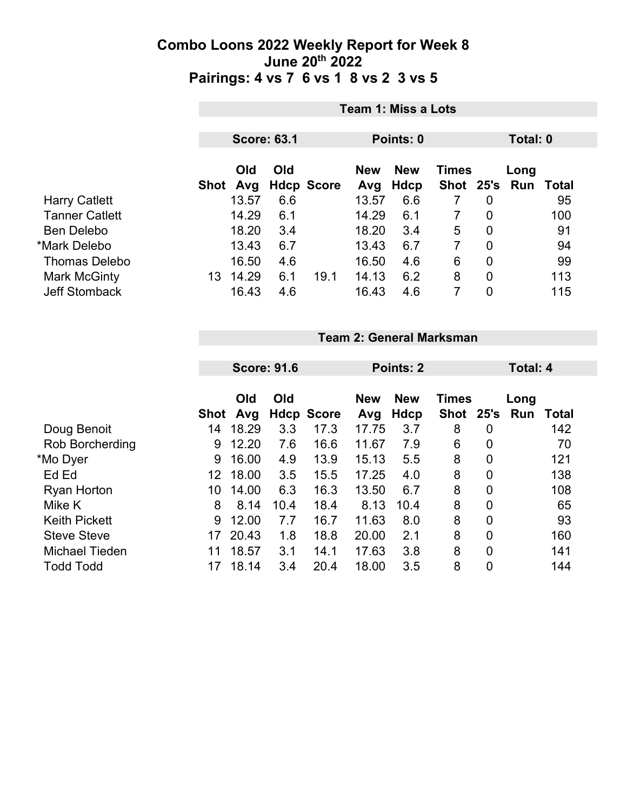|                       |      | Team 1: Miss a Lots |     |                   |            |             |                |                |          |       |  |
|-----------------------|------|---------------------|-----|-------------------|------------|-------------|----------------|----------------|----------|-------|--|
|                       |      | <b>Score: 63.1</b>  |     |                   |            |             |                |                | Total: 0 |       |  |
|                       |      | Old                 | Old |                   | <b>New</b> | <b>New</b>  | <b>Times</b>   |                | Long     |       |  |
|                       | Shot | Avg                 |     | <b>Hdcp Score</b> | Avg        | <b>Hdcp</b> | <b>Shot</b>    |                | 25's Run | Total |  |
| <b>Harry Catlett</b>  |      | 13.57               | 6.6 |                   | 13.57      | 6.6         | 7              | 0              |          | 95    |  |
| <b>Tanner Catlett</b> |      | 14.29               | 6.1 |                   | 14.29      | 6.1         | $\overline{7}$ | $\overline{0}$ |          | 100   |  |
| Ben Delebo            |      | 18.20               | 3.4 |                   | 18.20      | 3.4         | 5              | $\overline{0}$ |          | 91    |  |
| *Mark Delebo          |      | 13.43               | 6.7 |                   | 13.43      | 6.7         | $\overline{7}$ | $\overline{0}$ |          | 94    |  |
| <b>Thomas Delebo</b>  |      | 16.50               | 4.6 |                   | 16.50      | 4.6         | 6              | $\overline{0}$ |          | 99    |  |
| <b>Mark McGinty</b>   | 13   | 14.29               | 6.1 | 19.1              | 14.13      | 6.2         | 8              | $\overline{0}$ |          | 113   |  |
| <b>Jeff Stomback</b>  |      | 16.43               | 4.6 |                   | 16.43      | 4.6         | 7              | 0              |          | 115   |  |

|  | <b>Team 2: General Marksman</b> |
|--|---------------------------------|
|  |                                 |

|                        |             | <b>Score: 91.6</b> |      |                   | Points: 2         | Total: 4                  |                               |                |      |       |
|------------------------|-------------|--------------------|------|-------------------|-------------------|---------------------------|-------------------------------|----------------|------|-------|
|                        | <b>Shot</b> | Old<br>Avg         | Old  | <b>Hdcp Score</b> | <b>New</b><br>Avg | <b>New</b><br><b>Hdcp</b> | <b>Times</b><br>Shot 25's Run |                | Long | Total |
| Doug Benoit            | 14          | 18.29              | 3.3  | 17.3              | 17.75             | 3.7                       | 8                             | 0              |      | 142   |
| <b>Rob Borcherding</b> | 9           | 12.20              | 7.6  | 16.6              | 11.67             | 7.9                       | 6                             | 0              |      | 70    |
| *Mo Dyer               | 9           | 16.00              | 4.9  | 13.9              | 15.13             | 5.5                       | 8                             | 0              |      | 121   |
| Ed Ed                  | 12          | 18.00              | 3.5  | 15.5              | 17.25             | 4.0                       | 8                             | 0              |      | 138   |
| <b>Ryan Horton</b>     | 10          | 14.00              | 6.3  | 16.3              | 13.50             | 6.7                       | 8                             | 0              |      | 108   |
| Mike K                 | 8           | 8.14               | 10.4 | 18.4              | 8.13              | 10.4                      | 8                             | $\overline{0}$ |      | 65    |
| <b>Keith Pickett</b>   | 9           | 12.00              | 7.7  | 16.7              | 11.63             | 8.0                       | 8                             | 0              |      | 93    |
| <b>Steve Steve</b>     | 17          | 20.43              | 1.8  | 18.8              | 20.00             | 2.1                       | 8                             | 0              |      | 160   |
| <b>Michael Tieden</b>  | 11          | 18.57              | 3.1  | 14.1              | 17.63             | 3.8                       | 8                             | $\overline{0}$ |      | 141   |
| <b>Todd Todd</b>       | 17          | 18.14              | 3.4  | 20.4              | 18.00             | 3.5                       | 8                             | 0              |      | 144   |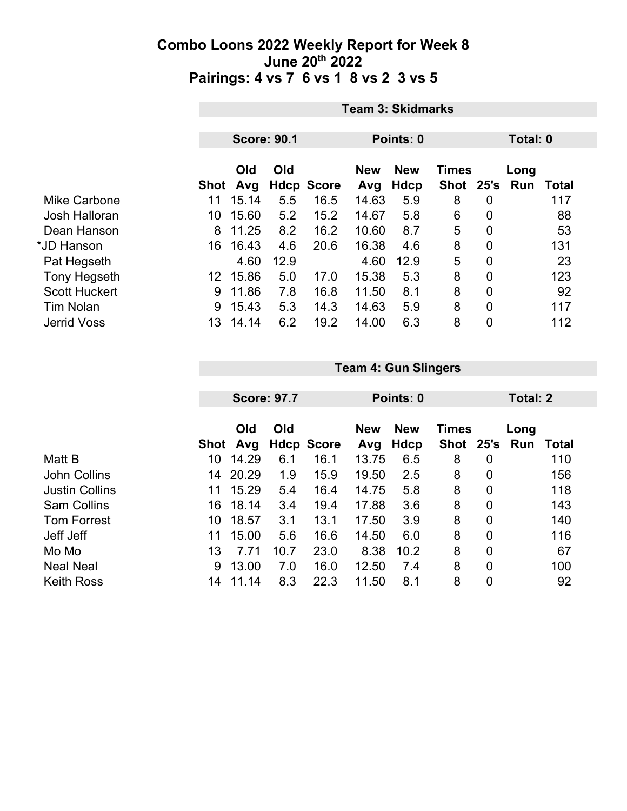|                      | <b>Team 3: Skidmarks</b> |       |      |                   |                                          |             |             |             |          |       |  |
|----------------------|--------------------------|-------|------|-------------------|------------------------------------------|-------------|-------------|-------------|----------|-------|--|
|                      |                          |       |      |                   |                                          |             |             |             |          |       |  |
|                      | <b>Score: 90.1</b>       |       |      |                   | Points: 0                                |             |             |             | Total: 0 |       |  |
|                      | Old<br>Old               |       |      |                   | <b>New</b><br><b>Times</b><br><b>New</b> |             |             |             | Long     |       |  |
|                      | Shot                     | Avg   |      | <b>Hdcp Score</b> | Avg                                      | <b>Hdcp</b> | <b>Shot</b> | 25's        | Run      | Total |  |
| Mike Carbone         | 11                       | 15.14 | 5.5  | 16.5              | 14.63                                    | 5.9         | 8           | 0           |          | 117   |  |
| Josh Halloran        | 10                       | 15.60 | 5.2  | 15.2              | 14.67                                    | 5.8         | 6           | 0           |          | 88    |  |
| Dean Hanson          | 8                        | 11.25 | 8.2  | 16.2              | 10.60                                    | 8.7         | 5           | $\mathbf 0$ |          | 53    |  |
| *JD Hanson           | 16                       | 16.43 | 4.6  | 20.6              | 16.38                                    | 4.6         | 8           | $\mathbf 0$ |          | 131   |  |
| Pat Hegseth          |                          | 4.60  | 12.9 |                   | 4.60                                     | 12.9        | 5           | $\mathbf 0$ |          | 23    |  |
| Tony Hegseth         | 12                       | 15.86 | 5.0  | 17.0              | 15.38                                    | 5.3         | 8           | 0           |          | 123   |  |
| <b>Scott Huckert</b> | 9                        | 11.86 | 7.8  | 16.8              | 11.50                                    | 8.1         | 8           | $\mathbf 0$ |          | 92    |  |
| <b>Tim Nolan</b>     | 9                        | 15.43 | 5.3  | 14.3              | 14.63                                    | 5.9         | 8           | 0           |          | 117   |  |
| <b>Jerrid Voss</b>   | 13                       | 14.14 | 6.2  | 19.2              | 14.00                                    | 6.3         | 8           | 0           |          | 112   |  |

|                       |      | <b>Score: 97.7</b> |      |                   |                   | Points: 0                 |                             |                | <b>Total: 2</b> |       |  |
|-----------------------|------|--------------------|------|-------------------|-------------------|---------------------------|-----------------------------|----------------|-----------------|-------|--|
|                       | Shot | Old<br>Avg         | Old  | <b>Hdcp Score</b> | <b>New</b><br>Avg | <b>New</b><br><b>Hdcp</b> | <b>Times</b><br><b>Shot</b> | 25's           | Long<br>Run     | Total |  |
| Matt B                | 10   | 14.29              | 6.1  | 16.1              | 13.75             | 6.5                       | 8                           | 0              |                 | 110   |  |
| <b>John Collins</b>   | 14   | 20.29              | 1.9  | 15.9              | 19.50             | 2.5                       | 8                           | 0              |                 | 156   |  |
| <b>Justin Collins</b> | 11   | 15.29              | 5.4  | 16.4              | 14.75             | 5.8                       | 8                           | 0              |                 | 118   |  |
| <b>Sam Collins</b>    | 16   | 18.14              | 3.4  | 19.4              | 17.88             | 3.6                       | 8                           | $\overline{0}$ |                 | 143   |  |
| <b>Tom Forrest</b>    | 10   | 18.57              | 3.1  | 13.1              | 17.50             | 3.9                       | 8                           | $\overline{0}$ |                 | 140   |  |
| Jeff Jeff             | 11   | 15.00              | 5.6  | 16.6              | 14.50             | 6.0                       | 8                           | $\overline{0}$ |                 | 116   |  |
| Mo Mo                 | 13   | 7.71               | 10.7 | 23.0              | 8.38              | 10.2                      | 8                           | $\overline{0}$ |                 | 67    |  |
| <b>Neal Neal</b>      | 9    | 13.00              | 7.0  | 16.0              | 12.50             | 7.4                       | 8                           | $\overline{0}$ |                 | 100   |  |
| <b>Keith Ross</b>     | 14   | 11.14              | 8.3  | 22.3              | 11.50             | 8.1                       | 8                           | 0              |                 | 92    |  |

**Team 4: Gun Slingers**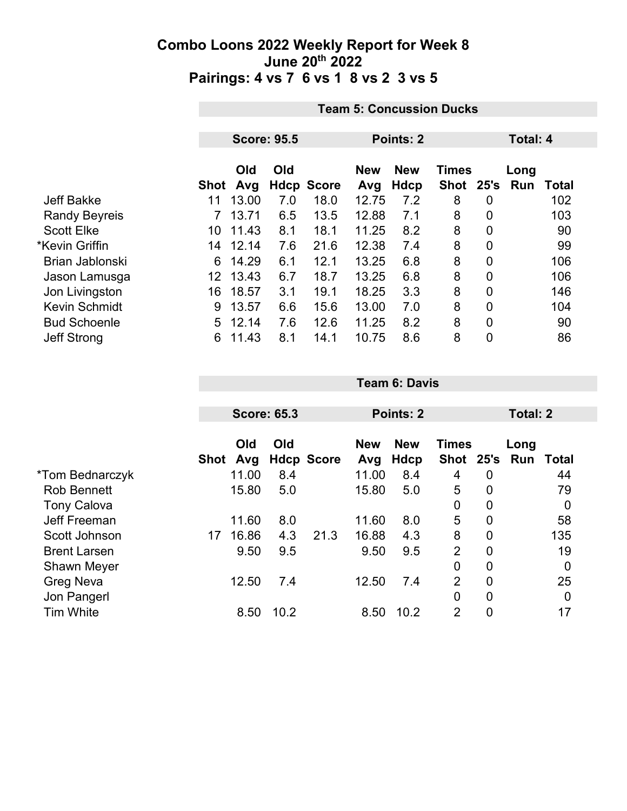|                      |                 | <b>Team 5: Concussion Ducks</b> |     |                   |       |             |              |   |                 |              |  |
|----------------------|-----------------|---------------------------------|-----|-------------------|-------|-------------|--------------|---|-----------------|--------------|--|
|                      |                 |                                 |     |                   |       |             |              |   | <b>Total: 4</b> |              |  |
|                      |                 | <b>Score: 95.5</b>              |     |                   |       | Points: 2   |              |   |                 |              |  |
|                      |                 | Old<br>Old                      |     |                   |       | <b>New</b>  | <b>Times</b> |   | Long            |              |  |
|                      | Shot            | Avg                             |     | <b>Hdcp Score</b> | Avg   | <b>Hdcp</b> | Shot 25's    |   | Run             | <b>Total</b> |  |
| <b>Jeff Bakke</b>    | 11              | 13.00                           | 7.0 | 18.0              | 12.75 | 7.2         | 8            | 0 |                 | 102          |  |
| <b>Randy Beyreis</b> |                 | 13.71                           | 6.5 | 13.5              | 12.88 | 7.1         | 8            | 0 |                 | 103          |  |
| <b>Scott Elke</b>    | 10              | 11.43                           | 8.1 | 18.1              | 11.25 | 8.2         | 8            | 0 |                 | 90           |  |
| *Kevin Griffin       | 14              | 12.14                           | 7.6 | 21.6              | 12.38 | 7.4         | 8            | 0 |                 | 99           |  |
| Brian Jablonski      | 6               | 14.29                           | 6.1 | 12.1              | 13.25 | 6.8         | 8            | 0 |                 | 106          |  |
| Jason Lamusga        | 12 <sup>°</sup> | 13.43                           | 6.7 | 18.7              | 13.25 | 6.8         | 8            | 0 |                 | 106          |  |
| Jon Livingston       | 16              | 18.57                           | 3.1 | 19.1              | 18.25 | 3.3         | 8            | 0 |                 | 146          |  |
| <b>Kevin Schmidt</b> | 9               | 13.57                           | 6.6 | 15.6              | 13.00 | 7.0         | 8            | 0 |                 | 104          |  |
| <b>Bud Schoenle</b>  | 5               | 12.14                           | 7.6 | 12.6              | 11.25 | 8.2         | 8            | 0 |                 | 90           |  |
| <b>Jeff Strong</b>   | 6               | 11.43                           | 8.1 | 14.1              | 10.75 | 8.6         | 8            | 0 |                 | 86           |  |

|                     |      | <b>Score: 65.3</b> |      |                   |            | Points: 2  |                |                | Total: 2 |             |  |
|---------------------|------|--------------------|------|-------------------|------------|------------|----------------|----------------|----------|-------------|--|
|                     |      |                    |      |                   |            |            |                |                |          |             |  |
|                     |      | Old                | Old  |                   | <b>New</b> | <b>New</b> | <b>Times</b>   |                | Long     |             |  |
|                     | Shot | Avg                |      | <b>Hdcp Score</b> | Avg        | Hdcp       | Shot 25's      |                | Run      | Total       |  |
| *Tom Bednarczyk     |      | 11.00              | 8.4  |                   | 11.00      | 8.4        | 4              | 0              |          | 44          |  |
| <b>Rob Bennett</b>  |      | 15.80              | 5.0  |                   | 15.80      | 5.0        | 5              | 0              |          | 79          |  |
| <b>Tony Calova</b>  |      |                    |      |                   |            |            | 0              | $\overline{0}$ |          | 0           |  |
| Jeff Freeman        |      | 11.60              | 8.0  |                   | 11.60      | 8.0        | 5              | 0              |          | 58          |  |
| Scott Johnson       | 17   | 16.86              | 4.3  | 21.3              | 16.88      | 4.3        | 8              | $\overline{0}$ |          | 135         |  |
| <b>Brent Larsen</b> |      | 9.50               | 9.5  |                   | 9.50       | 9.5        | 2              | 0              |          | 19          |  |
| <b>Shawn Meyer</b>  |      |                    |      |                   |            |            | 0              | 0              |          | $\mathbf 0$ |  |
| Greg Neva           |      | 12.50              | 7.4  |                   | 12.50      | 7.4        | $\overline{2}$ | 0              |          | 25          |  |
| Jon Pangerl         |      |                    |      |                   |            |            | 0              | $\mathbf 0$    |          | $\mathbf 0$ |  |
| <b>Tim White</b>    |      | 8.50               | 10.2 |                   | 8.50       | 10.2       | $\overline{2}$ | $\overline{0}$ |          | 17          |  |

**Team 6: Davis**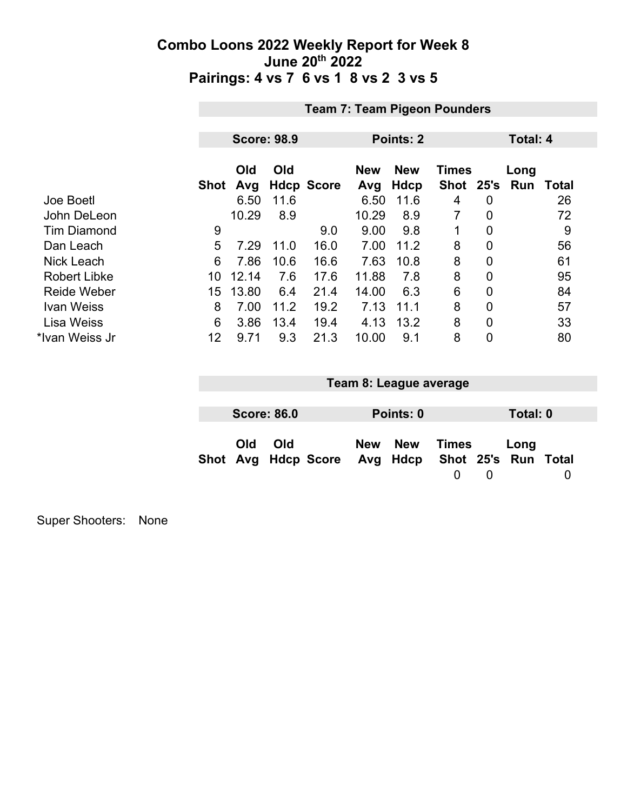|                     | <b>Team 7: Team Pigeon Pounders</b> |                    |      |                   |                   |                           |                           |                |                    |              |
|---------------------|-------------------------------------|--------------------|------|-------------------|-------------------|---------------------------|---------------------------|----------------|--------------------|--------------|
|                     |                                     |                    |      |                   |                   |                           |                           |                |                    |              |
|                     |                                     | <b>Score: 98.9</b> |      |                   |                   | Points: 2                 |                           | Total: 4       |                    |              |
|                     | Shot                                | Old<br>Avg         | Old  | <b>Hdcp Score</b> | <b>New</b><br>Avg | <b>New</b><br><b>Hdcp</b> | <b>Times</b><br>Shot 25's |                | Long<br><b>Run</b> | <b>Total</b> |
| Joe Boetl           |                                     | 6.50               | 11.6 |                   | 6.50              | 11.6                      | 4                         | 0              |                    | 26           |
| John DeLeon         |                                     | 10.29              | 8.9  |                   | 10.29             | 8.9                       | 7                         | $\mathbf 0$    |                    | 72           |
| <b>Tim Diamond</b>  | 9                                   |                    |      | 9.0               | 9.00              | 9.8                       |                           | $\overline{0}$ |                    | 9            |
| Dan Leach           | 5                                   | 7.29               | 11.0 | 16.0              | 7.00              | 11.2                      | 8                         | 0              |                    | 56           |
| <b>Nick Leach</b>   | 6                                   | 7.86               | 10.6 | 16.6              | 7.63              | 10.8                      | 8                         | $\mathbf 0$    |                    | 61           |
| <b>Robert Libke</b> | 10                                  | 12.14              | 7.6  | 17.6              | 11.88             | 7.8                       | 8                         | $\overline{0}$ |                    | 95           |
| <b>Reide Weber</b>  | 15                                  | 13.80              | 6.4  | 21.4              | 14.00             | 6.3                       | 6                         | 0              |                    | 84           |
| <b>Ivan Weiss</b>   | 8                                   | 7.00               | 11.2 | 19.2              | 7.13              | 11.1                      | 8                         | 0              |                    | 57           |
| <b>Lisa Weiss</b>   | 6                                   | 3.86               | 13.4 | 19.4              | 4.13              | 13.2                      | 8                         | $\overline{0}$ |                    | 33           |
| *Ivan Weiss Jr      | 12                                  | 9.71               | 9.3  | 21.3              | 10.00             | 9.1                       | 8                         | 0              |                    | 80           |

| Team 8: League average |                    |                                                  |  |           |       |          |          |  |
|------------------------|--------------------|--------------------------------------------------|--|-----------|-------|----------|----------|--|
|                        |                    |                                                  |  |           |       |          |          |  |
|                        | <b>Score: 86.0</b> |                                                  |  | Points: 0 |       |          | Total: 0 |  |
| <b>Old</b>             | Old                | Shot Avg Hdcp Score Avg Hdcp Shot 25's Run Total |  | New New   | Times | $\left($ | Long     |  |

Super Shooters: None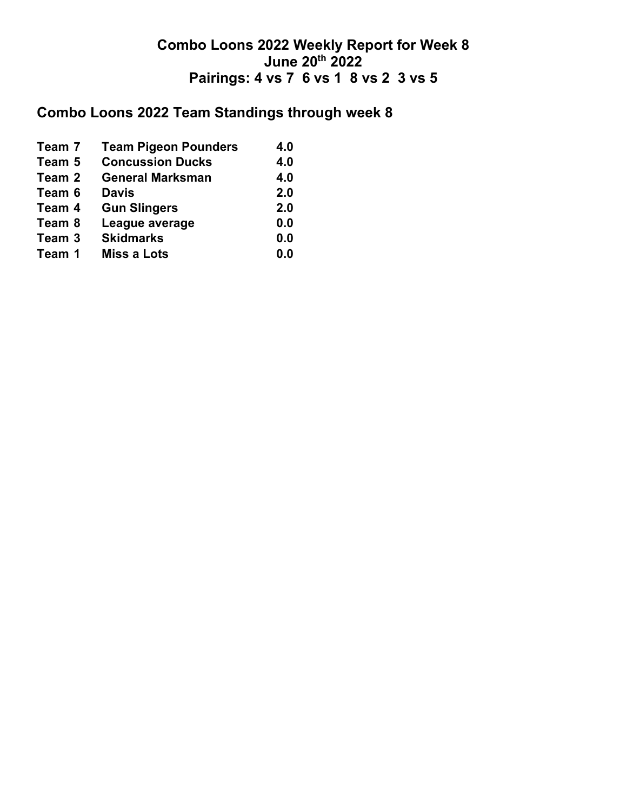# **Combo Loons 2022 Team Standings through week 8**

| Team 7 | <b>Team Pigeon Pounders</b> | 4.0 |
|--------|-----------------------------|-----|
| Team 5 | <b>Concussion Ducks</b>     | 4.0 |
| Team 2 | <b>General Marksman</b>     | 4.0 |
| Team 6 | <b>Davis</b>                | 2.0 |
| Team 4 | <b>Gun Slingers</b>         | 2.0 |
| Team 8 | League average              | 0.0 |
| Team 3 | <b>Skidmarks</b>            | 0.0 |
| Team 1 | <b>Miss a Lots</b>          | 0.0 |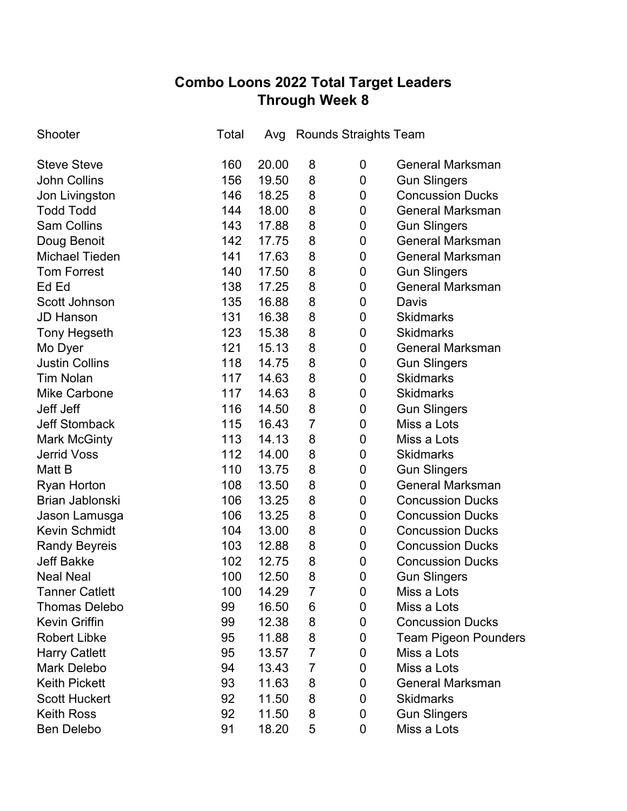## **Combo Loons 2022 Total Target Leaders Through Week 8**

| Shooter               | Total | Avg   |                | Rounds Straights Team |                             |
|-----------------------|-------|-------|----------------|-----------------------|-----------------------------|
| <b>Steve Steve</b>    | 160   | 20.00 | 8              | 0                     | <b>General Marksman</b>     |
| <b>John Collins</b>   | 156   | 19.50 | 8              | 0                     | <b>Gun Slingers</b>         |
| Jon Livingston        | 146   | 18.25 | 8              | 0                     | <b>Concussion Ducks</b>     |
| <b>Todd Todd</b>      | 144   | 18.00 | 8              | 0                     | <b>General Marksman</b>     |
| <b>Sam Collins</b>    | 143   | 17.88 | 8              | 0                     | <b>Gun Slingers</b>         |
| Doug Benoit           | 142   | 17.75 | 8              | 0                     | <b>General Marksman</b>     |
| <b>Michael Tieden</b> | 141   | 17.63 | 8              | 0                     | <b>General Marksman</b>     |
| <b>Tom Forrest</b>    | 140   | 17.50 | 8              | 0                     | <b>Gun Slingers</b>         |
| Ed Ed                 | 138   | 17.25 | 8              | 0                     | <b>General Marksman</b>     |
| Scott Johnson         | 135   | 16.88 | 8              | 0                     | Davis                       |
| <b>JD Hanson</b>      | 131   | 16.38 | 8              | 0                     | <b>Skidmarks</b>            |
| <b>Tony Hegseth</b>   | 123   | 15.38 | 8              | 0                     | <b>Skidmarks</b>            |
| Mo Dyer               | 121   | 15.13 | 8              | 0                     | <b>General Marksman</b>     |
| <b>Justin Collins</b> | 118   | 14.75 | 8              | 0                     | <b>Gun Slingers</b>         |
| <b>Tim Nolan</b>      | 117   | 14.63 | 8              | 0                     | <b>Skidmarks</b>            |
| <b>Mike Carbone</b>   | 117   | 14.63 | 8              | 0                     | <b>Skidmarks</b>            |
| Jeff Jeff             | 116   | 14.50 | 8              | 0                     | <b>Gun Slingers</b>         |
| <b>Jeff Stomback</b>  | 115   | 16.43 | $\overline{7}$ | 0                     | Miss a Lots                 |
| <b>Mark McGinty</b>   | 113   | 14.13 | 8              | 0                     | Miss a Lots                 |
| <b>Jerrid Voss</b>    | 112   | 14.00 | 8              | 0                     | <b>Skidmarks</b>            |
| Matt B                | 110   | 13.75 | 8              | $\mathbf 0$           | <b>Gun Slingers</b>         |
| <b>Ryan Horton</b>    | 108   | 13.50 | 8              | 0                     | <b>General Marksman</b>     |
| Brian Jablonski       | 106   | 13.25 | 8              | $\mathbf 0$           | <b>Concussion Ducks</b>     |
| Jason Lamusga         | 106   | 13.25 | 8              | 0                     | <b>Concussion Ducks</b>     |
| <b>Kevin Schmidt</b>  | 104   | 13.00 | 8              | $\mathbf 0$           | <b>Concussion Ducks</b>     |
| <b>Randy Beyreis</b>  | 103   | 12.88 | 8              | 0                     | <b>Concussion Ducks</b>     |
| <b>Jeff Bakke</b>     | 102   | 12.75 | 8              | $\mathbf 0$           | <b>Concussion Ducks</b>     |
| <b>Neal Neal</b>      | 100   | 12.50 | 8              | 0                     | <b>Gun Slingers</b>         |
| <b>Tanner Catlett</b> | 100   | 14.29 | 7              | 0                     | Miss a Lots                 |
| <b>Thomas Delebo</b>  | 99    | 16.50 | 6              | 0                     | Miss a Lots                 |
| <b>Kevin Griffin</b>  | 99    | 12.38 | 8              | 0                     | <b>Concussion Ducks</b>     |
| <b>Robert Libke</b>   | 95    | 11.88 | 8              | 0                     | <b>Team Pigeon Pounders</b> |
| <b>Harry Catlett</b>  | 95    | 13.57 | 7              | 0                     | Miss a Lots                 |
| <b>Mark Delebo</b>    | 94    | 13.43 | $\overline{7}$ | 0                     | Miss a Lots                 |
| <b>Keith Pickett</b>  | 93    | 11.63 | 8              | 0                     | <b>General Marksman</b>     |
| <b>Scott Huckert</b>  | 92    | 11.50 | 8              | 0                     | <b>Skidmarks</b>            |
| <b>Keith Ross</b>     | 92    | 11.50 | 8              | 0                     | <b>Gun Slingers</b>         |
| Ben Delebo            | 91    | 18.20 | 5              | 0                     | Miss a Lots                 |